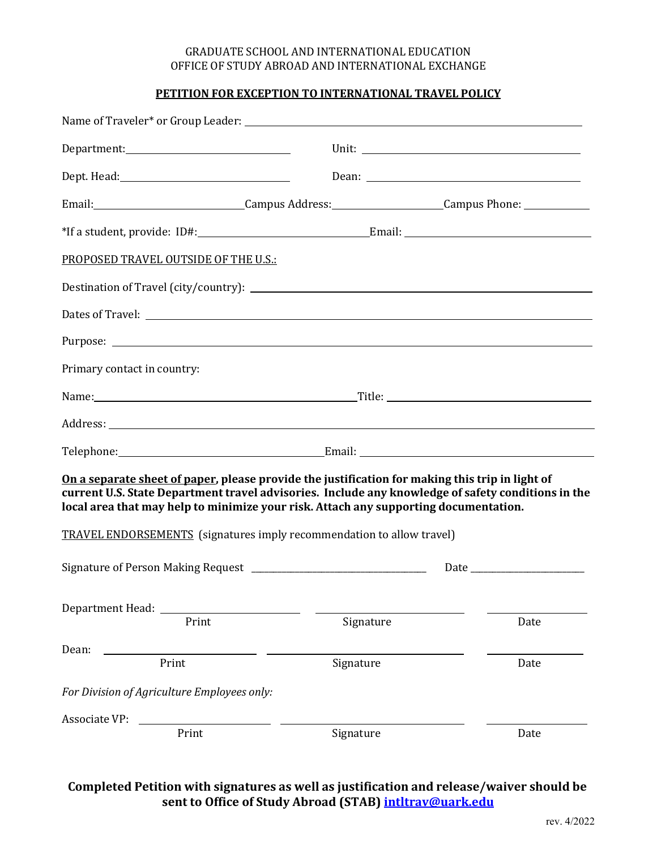## GRADUATE SCHOOL AND INTERNATIONAL EDUCATION OFFICE OF STUDY ABROAD AND INTERNATIONAL EXCHANGE

## **PETITION FOR EXCEPTION TO INTERNATIONAL TRAVEL POLICY**

|                                             | Email:_______________________________Campus Address:_____________________Campus Phone: _____________                                                                                                                                                                                          |      |
|---------------------------------------------|-----------------------------------------------------------------------------------------------------------------------------------------------------------------------------------------------------------------------------------------------------------------------------------------------|------|
|                                             |                                                                                                                                                                                                                                                                                               |      |
| PROPOSED TRAVEL OUTSIDE OF THE U.S.:        |                                                                                                                                                                                                                                                                                               |      |
|                                             |                                                                                                                                                                                                                                                                                               |      |
|                                             |                                                                                                                                                                                                                                                                                               |      |
|                                             |                                                                                                                                                                                                                                                                                               |      |
| Primary contact in country:                 |                                                                                                                                                                                                                                                                                               |      |
|                                             |                                                                                                                                                                                                                                                                                               |      |
|                                             |                                                                                                                                                                                                                                                                                               |      |
|                                             |                                                                                                                                                                                                                                                                                               |      |
|                                             | On a separate sheet of paper, please provide the justification for making this trip in light of<br>current U.S. State Department travel advisories. Include any knowledge of safety conditions in the<br>local area that may help to minimize your risk. Attach any supporting documentation. |      |
|                                             | <b>TRAVEL ENDORSEMENTS</b> (signatures imply recommendation to allow travel)                                                                                                                                                                                                                  |      |
|                                             |                                                                                                                                                                                                                                                                                               |      |
| Print                                       | Signature                                                                                                                                                                                                                                                                                     | Date |
| Dean:<br>Print                              | Signature                                                                                                                                                                                                                                                                                     | Date |
| For Division of Agriculture Employees only: |                                                                                                                                                                                                                                                                                               |      |
| Associate VP:<br>Print                      | Signature                                                                                                                                                                                                                                                                                     | Date |
|                                             |                                                                                                                                                                                                                                                                                               |      |

## **Completed Petition with signatures as well as justification and release/waiver should be sent to Office of Study Abroad (STAB) [intltrav@uark.edu](mailto:intltrav@uark.edu)**